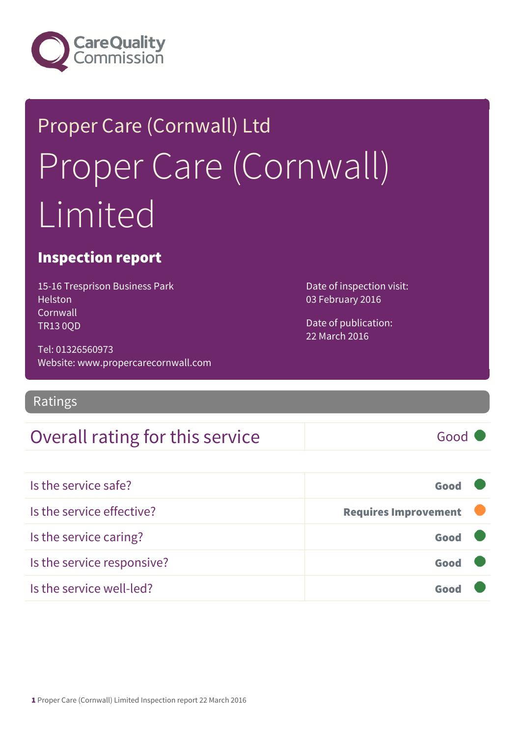

## Proper Care (Cornwall) Ltd Proper Care (Cornwall) Limited

#### Inspection report

15-16 Tresprison Business Park **Helston** Cornwall TR13 0QD

Tel: 01326560973 Website: www.propercarecornwall.com

Ratings

#### Overall rating for this service Fig. 600 Good

Is the service safe? Good Is the service effective? The service effective? Is the service caring? Good Is the service responsive? Good Is the service well-led? Good

Date of inspection visit: 03 February 2016

Date of publication: 22 March 2016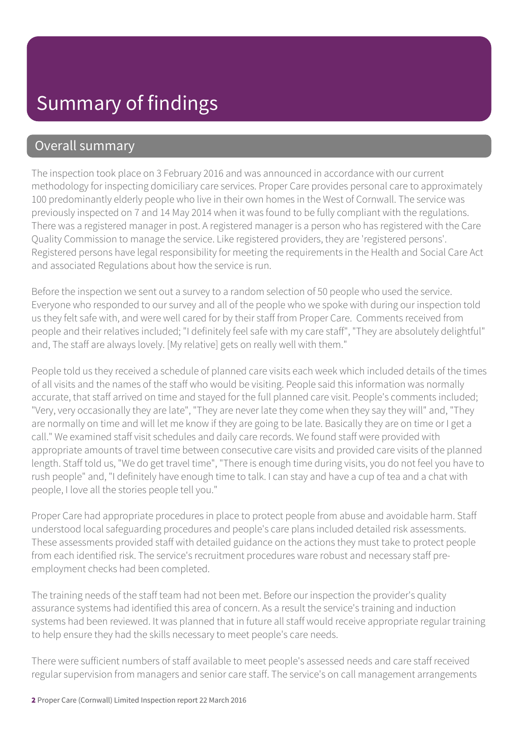#### Overall summary

The inspection took place on 3 February 2016 and was announced in accordance with our current methodology for inspecting domiciliary care services. Proper Care provides personal care to approximately 100 predominantly elderly people who live in their own homes in the West of Cornwall. The service was previously inspected on 7 and 14 May 2014 when it was found to be fully compliant with the regulations. There was a registered manager in post. A registered manager is a person who has registered with the Care Quality Commission to manage the service. Like registered providers, they are 'registered persons'. Registered persons have legal responsibility for meeting the requirements in the Health and Social Care Act and associated Regulations about how the service is run.

Before the inspection we sent out a survey to a random selection of 50 people who used the service. Everyone who responded to our survey and all of the people who we spoke with during our inspection told us they felt safe with, and were well cared for by their staff from Proper Care. Comments received from people and their relatives included; "I definitely feel safe with my care staff", "They are absolutely delightful" and, The staff are always lovely. [My relative] gets on really well with them."

People told us they received a schedule of planned care visits each week which included details of the times of all visits and the names of the staff who would be visiting. People said this information was normally accurate, that staff arrived on time and stayed for the full planned care visit. People's comments included; "Very, very occasionally they are late", "They are never late they come when they say they will" and, "They are normally on time and will let me know if they are going to be late. Basically they are on time or I get a call." We examined staff visit schedules and daily care records. We found staff were provided with appropriate amounts of travel time between consecutive care visits and provided care visits of the planned length. Staff told us, "We do get travel time", "There is enough time during visits, you do not feel you have to rush people" and, "I definitely have enough time to talk. I can stay and have a cup of tea and a chat with people, I love all the stories people tell you."

Proper Care had appropriate procedures in place to protect people from abuse and avoidable harm. Staff understood local safeguarding procedures and people's care plans included detailed risk assessments. These assessments provided staff with detailed guidance on the actions they must take to protect people from each identified risk. The service's recruitment procedures ware robust and necessary staff preemployment checks had been completed.

The training needs of the staff team had not been met. Before our inspection the provider's quality assurance systems had identified this area of concern. As a result the service's training and induction systems had been reviewed. It was planned that in future all staff would receive appropriate regular training to help ensure they had the skills necessary to meet people's care needs.

There were sufficient numbers of staff available to meet people's assessed needs and care staff received regular supervision from managers and senior care staff. The service's on call management arrangements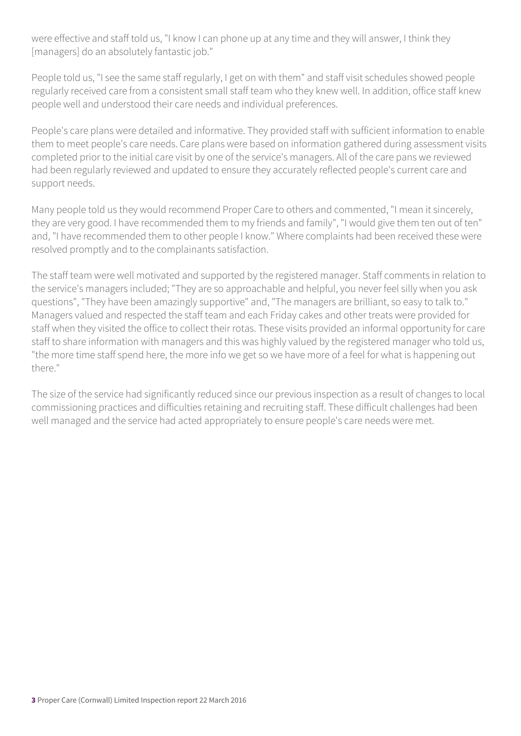were effective and staff told us, "I know I can phone up at any time and they will answer, I think they [managers] do an absolutely fantastic job."

People told us, "I see the same staff regularly, I get on with them" and staff visit schedules showed people regularly received care from a consistent small staff team who they knew well. In addition, office staff knew people well and understood their care needs and individual preferences.

People's care plans were detailed and informative. They provided staff with sufficient information to enable them to meet people's care needs. Care plans were based on information gathered during assessment visits completed prior to the initial care visit by one of the service's managers. All of the care pans we reviewed had been regularly reviewed and updated to ensure they accurately reflected people's current care and support needs.

Many people told us they would recommend Proper Care to others and commented, "I mean it sincerely, they are very good. I have recommended them to my friends and family", "I would give them ten out of ten" and, "I have recommended them to other people I know." Where complaints had been received these were resolved promptly and to the complainants satisfaction.

The staff team were well motivated and supported by the registered manager. Staff comments in relation to the service's managers included; "They are so approachable and helpful, you never feel silly when you ask questions", "They have been amazingly supportive" and, "The managers are brilliant, so easy to talk to." Managers valued and respected the staff team and each Friday cakes and other treats were provided for staff when they visited the office to collect their rotas. These visits provided an informal opportunity for care staff to share information with managers and this was highly valued by the registered manager who told us, "the more time staff spend here, the more info we get so we have more of a feel for what is happening out there."

The size of the service had significantly reduced since our previous inspection as a result of changes to local commissioning practices and difficulties retaining and recruiting staff. These difficult challenges had been well managed and the service had acted appropriately to ensure people's care needs were met.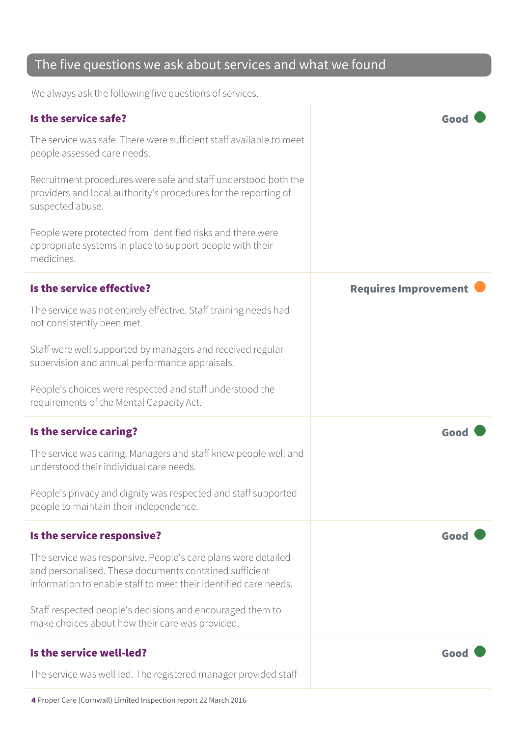#### The five questions we ask about services and what we found

We always ask the following five questions of services.

| Is the service safe?<br>The service was safe. There were sufficient staff available to meet<br>people assessed care needs.<br>Recruitment procedures were safe and staff understood both the<br>providers and local authority's procedures for the reporting of<br>suspected abuse.<br>People were protected from identified risks and there were<br>appropriate systems in place to support people with their<br>medicines. | Goo                         |
|------------------------------------------------------------------------------------------------------------------------------------------------------------------------------------------------------------------------------------------------------------------------------------------------------------------------------------------------------------------------------------------------------------------------------|-----------------------------|
| Is the service effective?<br>The service was not entirely effective. Staff training needs had<br>not consistently been met.<br>Staff were well supported by managers and received regular<br>supervision and annual performance appraisals.<br>People's choices were respected and staff understood the<br>requirements of the Mental Capacity Act.                                                                          | <b>Requires Improvement</b> |
| Is the service caring?<br>The service was caring. Managers and staff knew people well and<br>understood their individual care needs.<br>People's privacy and dignity was respected and staff supported<br>people to maintain their independence.                                                                                                                                                                             | Good                        |
| Is the service responsive?<br>The service was responsive. People's care plans were detailed<br>and personalised. These documents contained sufficient<br>information to enable staff to meet their identified care needs.<br>Staff respected people's decisions and encouraged them to<br>make choices about how their care was provided.                                                                                    | Good                        |
| Is the service well-led?<br>The service was well led. The registered manager provided staff                                                                                                                                                                                                                                                                                                                                  | Good                        |

4 Proper Care (Cornwall) Limited Inspection report 22 March 2016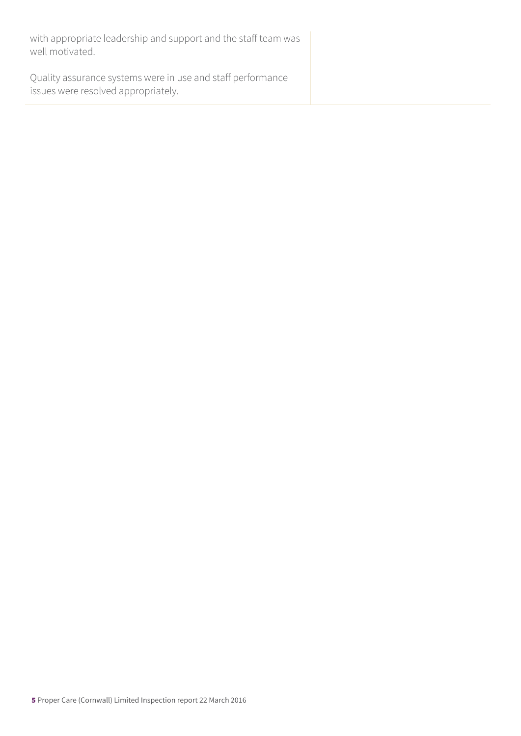with appropriate leadership and support and the staff team was well motivated.

Quality assurance systems were in use and staff performance issues were resolved appropriately.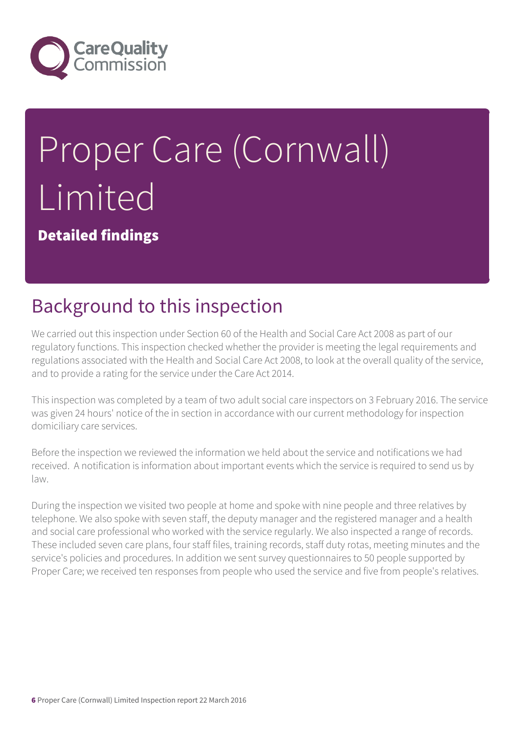

# Proper Care (Cornwall) Limited

Detailed findings

#### Background to this inspection

We carried out this inspection under Section 60 of the Health and Social Care Act 2008 as part of our regulatory functions. This inspection checked whether the provider is meeting the legal requirements and regulations associated with the Health and Social Care Act 2008, to look at the overall quality of the service, and to provide a rating for the service under the Care Act 2014.

This inspection was completed by a team of two adult social care inspectors on 3 February 2016. The service was given 24 hours' notice of the in section in accordance with our current methodology for inspection domiciliary care services.

Before the inspection we reviewed the information we held about the service and notifications we had received. A notification is information about important events which the service is required to send us by law.

During the inspection we visited two people at home and spoke with nine people and three relatives by telephone. We also spoke with seven staff, the deputy manager and the registered manager and a health and social care professional who worked with the service regularly. We also inspected a range of records. These included seven care plans, four staff files, training records, staff duty rotas, meeting minutes and the service's policies and procedures. In addition we sent survey questionnaires to 50 people supported by Proper Care; we received ten responses from people who used the service and five from people's relatives.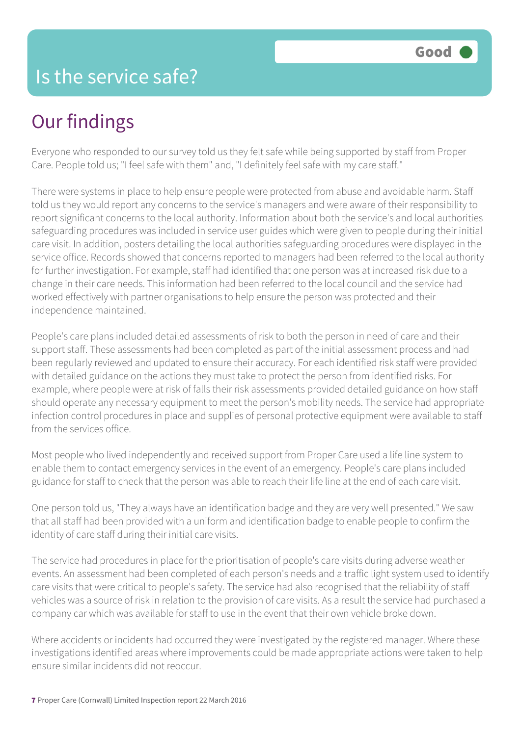#### Is the service safe?

#### Our findings

Everyone who responded to our survey told us they felt safe while being supported by staff from Proper Care. People told us; "I feel safe with them" and, "I definitely feel safe with my care staff."

There were systems in place to help ensure people were protected from abuse and avoidable harm. Staff told us they would report any concerns to the service's managers and were aware of their responsibility to report significant concerns to the local authority. Information about both the service's and local authorities safeguarding procedures was included in service user guides which were given to people during their initial care visit. In addition, posters detailing the local authorities safeguarding procedures were displayed in the service office. Records showed that concerns reported to managers had been referred to the local authority for further investigation. For example, staff had identified that one person was at increased risk due to a change in their care needs. This information had been referred to the local council and the service had worked effectively with partner organisations to help ensure the person was protected and their independence maintained.

People's care plans included detailed assessments of risk to both the person in need of care and their support staff. These assessments had been completed as part of the initial assessment process and had been regularly reviewed and updated to ensure their accuracy. For each identified risk staff were provided with detailed guidance on the actions they must take to protect the person from identified risks. For example, where people were at risk of falls their risk assessments provided detailed guidance on how staff should operate any necessary equipment to meet the person's mobility needs. The service had appropriate infection control procedures in place and supplies of personal protective equipment were available to staff from the services office.

Most people who lived independently and received support from Proper Care used a life line system to enable them to contact emergency services in the event of an emergency. People's care plans included guidance for staff to check that the person was able to reach their life line at the end of each care visit.

One person told us, "They always have an identification badge and they are very well presented." We saw that all staff had been provided with a uniform and identification badge to enable people to confirm the identity of care staff during their initial care visits.

The service had procedures in place for the prioritisation of people's care visits during adverse weather events. An assessment had been completed of each person's needs and a traffic light system used to identify care visits that were critical to people's safety. The service had also recognised that the reliability of staff vehicles was a source of risk in relation to the provision of care visits. As a result the service had purchased a company car which was available for staff to use in the event that their own vehicle broke down.

Where accidents or incidents had occurred they were investigated by the registered manager. Where these investigations identified areas where improvements could be made appropriate actions were taken to help ensure similar incidents did not reoccur.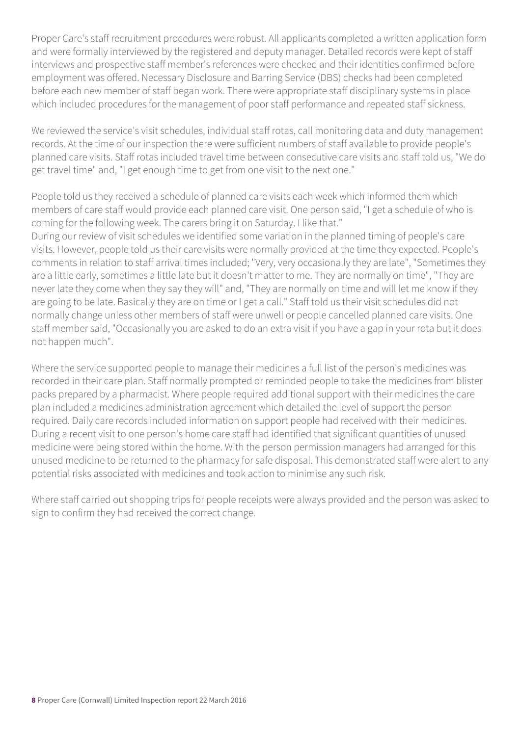Proper Care's staff recruitment procedures were robust. All applicants completed a written application form and were formally interviewed by the registered and deputy manager. Detailed records were kept of staff interviews and prospective staff member's references were checked and their identities confirmed before employment was offered. Necessary Disclosure and Barring Service (DBS) checks had been completed before each new member of staff began work. There were appropriate staff disciplinary systems in place which included procedures for the management of poor staff performance and repeated staff sickness.

We reviewed the service's visit schedules, individual staff rotas, call monitoring data and duty management records. At the time of our inspection there were sufficient numbers of staff available to provide people's planned care visits. Staff rotas included travel time between consecutive care visits and staff told us, "We do get travel time" and, "I get enough time to get from one visit to the next one."

People told us they received a schedule of planned care visits each week which informed them which members of care staff would provide each planned care visit. One person said, "I get a schedule of who is coming for the following week. The carers bring it on Saturday. I like that."

During our review of visit schedules we identified some variation in the planned timing of people's care visits. However, people told us their care visits were normally provided at the time they expected. People's comments in relation to staff arrival times included; "Very, very occasionally they are late", "Sometimes they are a little early, sometimes a little late but it doesn't matter to me. They are normally on time", "They are never late they come when they say they will" and, "They are normally on time and will let me know if they are going to be late. Basically they are on time or I get a call." Staff told us their visit schedules did not normally change unless other members of staff were unwell or people cancelled planned care visits. One staff member said, "Occasionally you are asked to do an extra visit if you have a gap in your rota but it does not happen much".

Where the service supported people to manage their medicines a full list of the person's medicines was recorded in their care plan. Staff normally prompted or reminded people to take the medicines from blister packs prepared by a pharmacist. Where people required additional support with their medicines the care plan included a medicines administration agreement which detailed the level of support the person required. Daily care records included information on support people had received with their medicines. During a recent visit to one person's home care staff had identified that significant quantities of unused medicine were being stored within the home. With the person permission managers had arranged for this unused medicine to be returned to the pharmacy for safe disposal. This demonstrated staff were alert to any potential risks associated with medicines and took action to minimise any such risk.

Where staff carried out shopping trips for people receipts were always provided and the person was asked to sign to confirm they had received the correct change.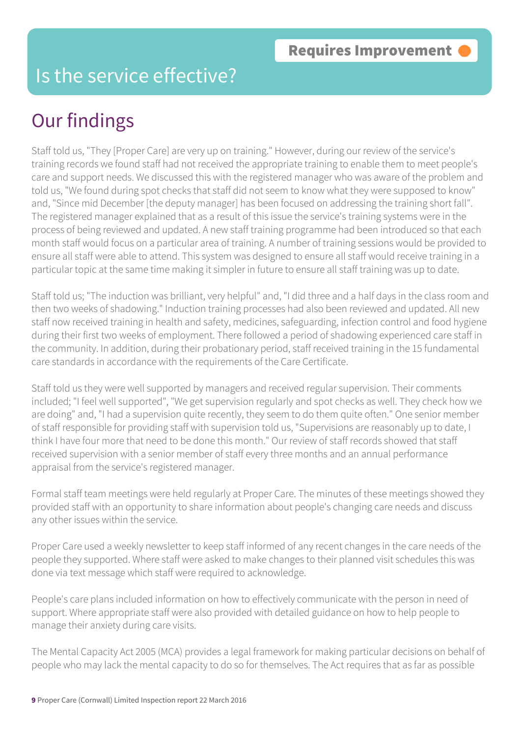#### Is the service effective?

## Our findings

Staff told us, "They [Proper Care] are very up on training." However, during our review of the service's training records we found staff had not received the appropriate training to enable them to meet people's care and support needs. We discussed this with the registered manager who was aware of the problem and told us, "We found during spot checks that staff did not seem to know what they were supposed to know" and, "Since mid December [the deputy manager] has been focused on addressing the training short fall". The registered manager explained that as a result of this issue the service's training systems were in the process of being reviewed and updated. A new staff training programme had been introduced so that each month staff would focus on a particular area of training. A number of training sessions would be provided to ensure all staff were able to attend. This system was designed to ensure all staff would receive training in a particular topic at the same time making it simpler in future to ensure all staff training was up to date.

Staff told us; "The induction was brilliant, very helpful" and, "I did three and a half days in the class room and then two weeks of shadowing." Induction training processes had also been reviewed and updated. All new staff now received training in health and safety, medicines, safeguarding, infection control and food hygiene during their first two weeks of employment. There followed a period of shadowing experienced care staff in the community. In addition, during their probationary period, staff received training in the 15 fundamental care standards in accordance with the requirements of the Care Certificate.

Staff told us they were well supported by managers and received regular supervision. Their comments included; "I feel well supported", "We get supervision regularly and spot checks as well. They check how we are doing" and, "I had a supervision quite recently, they seem to do them quite often." One senior member of staff responsible for providing staff with supervision told us, "Supervisions are reasonably up to date, I think I have four more that need to be done this month." Our review of staff records showed that staff received supervision with a senior member of staff every three months and an annual performance appraisal from the service's registered manager.

Formal staff team meetings were held regularly at Proper Care. The minutes of these meetings showed they provided staff with an opportunity to share information about people's changing care needs and discuss any other issues within the service.

Proper Care used a weekly newsletter to keep staff informed of any recent changes in the care needs of the people they supported. Where staff were asked to make changes to their planned visit schedules this was done via text message which staff were required to acknowledge.

People's care plans included information on how to effectively communicate with the person in need of support. Where appropriate staff were also provided with detailed guidance on how to help people to manage their anxiety during care visits.

The Mental Capacity Act 2005 (MCA) provides a legal framework for making particular decisions on behalf of people who may lack the mental capacity to do so for themselves. The Act requires that as far as possible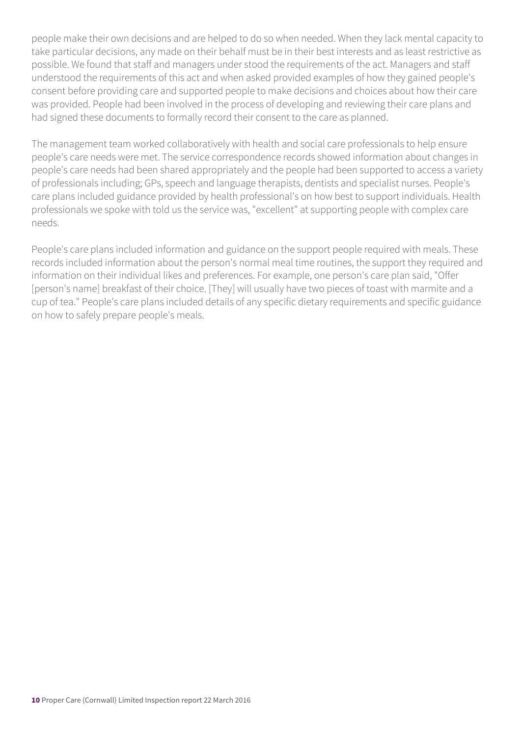people make their own decisions and are helped to do so when needed. When they lack mental capacity to take particular decisions, any made on their behalf must be in their best interests and as least restrictive as possible. We found that staff and managers under stood the requirements of the act. Managers and staff understood the requirements of this act and when asked provided examples of how they gained people's consent before providing care and supported people to make decisions and choices about how their care was provided. People had been involved in the process of developing and reviewing their care plans and had signed these documents to formally record their consent to the care as planned.

The management team worked collaboratively with health and social care professionals to help ensure people's care needs were met. The service correspondence records showed information about changes in people's care needs had been shared appropriately and the people had been supported to access a variety of professionals including; GPs, speech and language therapists, dentists and specialist nurses. People's care plans included guidance provided by health professional's on how best to support individuals. Health professionals we spoke with told us the service was, "excellent" at supporting people with complex care needs.

People's care plans included information and guidance on the support people required with meals. These records included information about the person's normal meal time routines, the support they required and information on their individual likes and preferences. For example, one person's care plan said, "Offer [person's name] breakfast of their choice. [They] will usually have two pieces of toast with marmite and a cup of tea." People's care plans included details of any specific dietary requirements and specific guidance on how to safely prepare people's meals.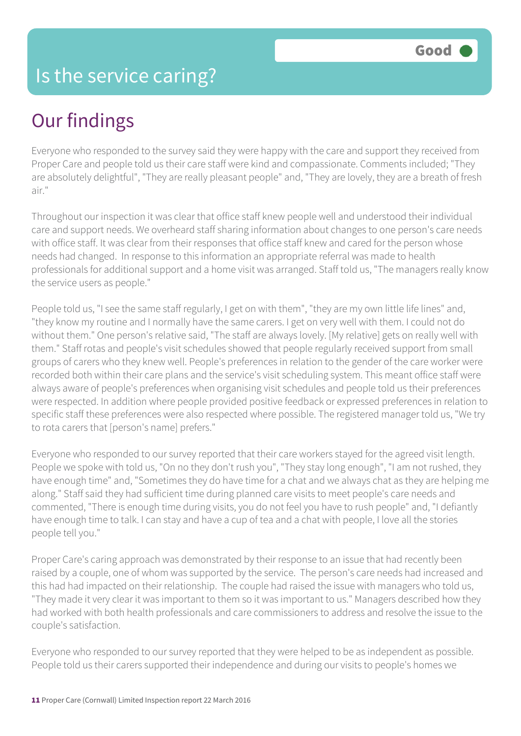### Our findings

Everyone who responded to the survey said they were happy with the care and support they received from Proper Care and people told us their care staff were kind and compassionate. Comments included; "They are absolutely delightful", "They are really pleasant people" and, "They are lovely, they are a breath of fresh air."

Throughout our inspection it was clear that office staff knew people well and understood their individual care and support needs. We overheard staff sharing information about changes to one person's care needs with office staff. It was clear from their responses that office staff knew and cared for the person whose needs had changed. In response to this information an appropriate referral was made to health professionals for additional support and a home visit was arranged. Staff told us, "The managers really know the service users as people."

People told us, "I see the same staff regularly, I get on with them", "they are my own little life lines" and, "they know my routine and I normally have the same carers. I get on very well with them. I could not do without them." One person's relative said, "The staff are always lovely. [My relative] gets on really well with them." Staff rotas and people's visit schedules showed that people regularly received support from small groups of carers who they knew well. People's preferences in relation to the gender of the care worker were recorded both within their care plans and the service's visit scheduling system. This meant office staff were always aware of people's preferences when organising visit schedules and people told us their preferences were respected. In addition where people provided positive feedback or expressed preferences in relation to specific staff these preferences were also respected where possible. The registered manager told us, "We try to rota carers that [person's name] prefers."

Everyone who responded to our survey reported that their care workers stayed for the agreed visit length. People we spoke with told us, "On no they don't rush you", "They stay long enough", "I am not rushed, they have enough time" and, "Sometimes they do have time for a chat and we always chat as they are helping me along." Staff said they had sufficient time during planned care visits to meet people's care needs and commented, "There is enough time during visits, you do not feel you have to rush people" and, "I defiantly have enough time to talk. I can stay and have a cup of tea and a chat with people, I love all the stories people tell you."

Proper Care's caring approach was demonstrated by their response to an issue that had recently been raised by a couple, one of whom was supported by the service. The person's care needs had increased and this had had impacted on their relationship. The couple had raised the issue with managers who told us, "They made it very clear it was important to them so it was important to us." Managers described how they had worked with both health professionals and care commissioners to address and resolve the issue to the couple's satisfaction.

Everyone who responded to our survey reported that they were helped to be as independent as possible. People told us their carers supported their independence and during our visits to people's homes we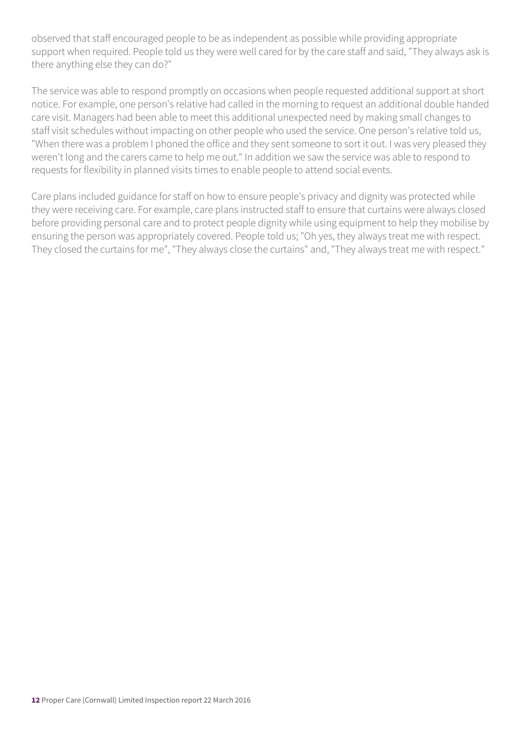observed that staff encouraged people to be as independent as possible while providing appropriate support when required. People told us they were well cared for by the care staff and said, "They always ask is there anything else they can do?"

The service was able to respond promptly on occasions when people requested additional support at short notice. For example, one person's relative had called in the morning to request an additional double handed care visit. Managers had been able to meet this additional unexpected need by making small changes to staff visit schedules without impacting on other people who used the service. One person's relative told us, "When there was a problem I phoned the office and they sent someone to sort it out. I was very pleased they weren't long and the carers came to help me out." In addition we saw the service was able to respond to requests for flexibility in planned visits times to enable people to attend social events.

Care plans included guidance for staff on how to ensure people's privacy and dignity was protected while they were receiving care. For example, care plans instructed staff to ensure that curtains were always closed before providing personal care and to protect people dignity while using equipment to help they mobilise by ensuring the person was appropriately covered. People told us; "Oh yes, they always treat me with respect. They closed the curtains for me", "They always close the curtains" and, "They always treat me with respect."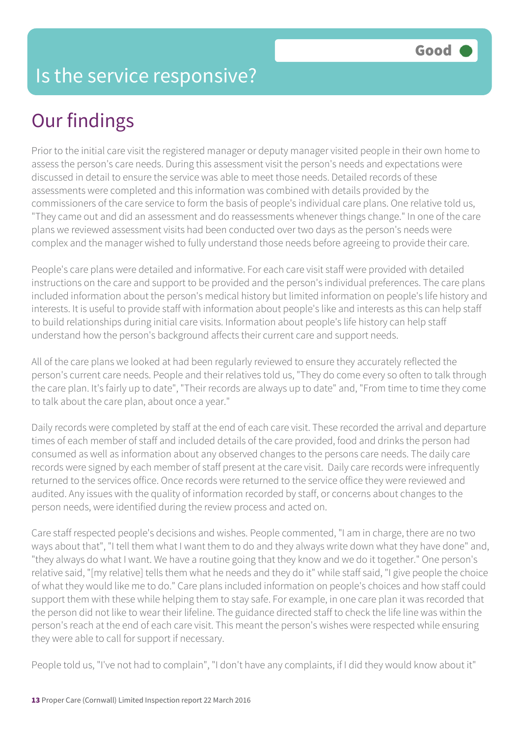## Our findings

Prior to the initial care visit the registered manager or deputy manager visited people in their own home to assess the person's care needs. During this assessment visit the person's needs and expectations were discussed in detail to ensure the service was able to meet those needs. Detailed records of these assessments were completed and this information was combined with details provided by the commissioners of the care service to form the basis of people's individual care plans. One relative told us, "They came out and did an assessment and do reassessments whenever things change." In one of the care plans we reviewed assessment visits had been conducted over two days as the person's needs were complex and the manager wished to fully understand those needs before agreeing to provide their care.

People's care plans were detailed and informative. For each care visit staff were provided with detailed instructions on the care and support to be provided and the person's individual preferences. The care plans included information about the person's medical history but limited information on people's life history and interests. It is useful to provide staff with information about people's like and interests as this can help staff to build relationships during initial care visits. Information about people's life history can help staff understand how the person's background affects their current care and support needs.

All of the care plans we looked at had been regularly reviewed to ensure they accurately reflected the person's current care needs. People and their relatives told us, "They do come every so often to talk through the care plan. It's fairly up to date", "Their records are always up to date" and, "From time to time they come to talk about the care plan, about once a year."

Daily records were completed by staff at the end of each care visit. These recorded the arrival and departure times of each member of staff and included details of the care provided, food and drinks the person had consumed as well as information about any observed changes to the persons care needs. The daily care records were signed by each member of staff present at the care visit. Daily care records were infrequently returned to the services office. Once records were returned to the service office they were reviewed and audited. Any issues with the quality of information recorded by staff, or concerns about changes to the person needs, were identified during the review process and acted on.

Care staff respected people's decisions and wishes. People commented, "I am in charge, there are no two ways about that", "I tell them what I want them to do and they always write down what they have done" and, "they always do what I want. We have a routine going that they know and we do it together." One person's relative said, "[my relative] tells them what he needs and they do it" while staff said, "I give people the choice of what they would like me to do." Care plans included information on people's choices and how staff could support them with these while helping them to stay safe. For example, in one care plan it was recorded that the person did not like to wear their lifeline. The guidance directed staff to check the life line was within the person's reach at the end of each care visit. This meant the person's wishes were respected while ensuring they were able to call for support if necessary.

People told us, "I've not had to complain", "I don't have any complaints, if I did they would know about it"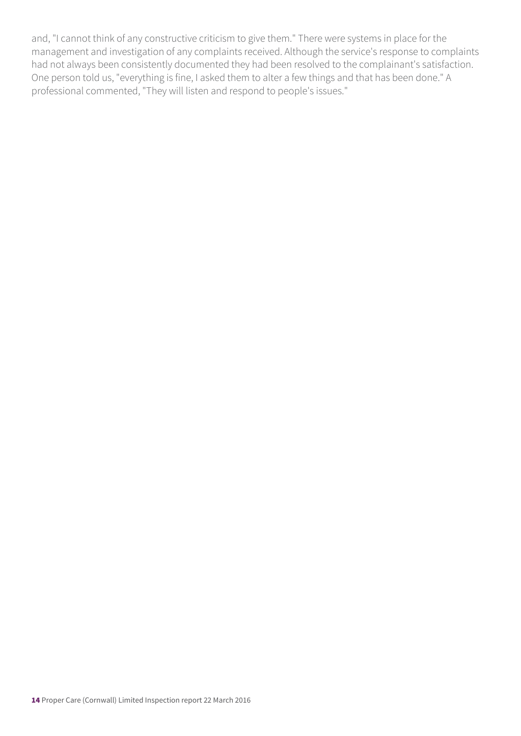and, "I cannot think of any constructive criticism to give them." There were systems in place for the management and investigation of any complaints received. Although the service's response to complaints had not always been consistently documented they had been resolved to the complainant's satisfaction. One person told us, "everything is fine, I asked them to alter a few things and that has been done." A professional commented, "They will listen and respond to people's issues."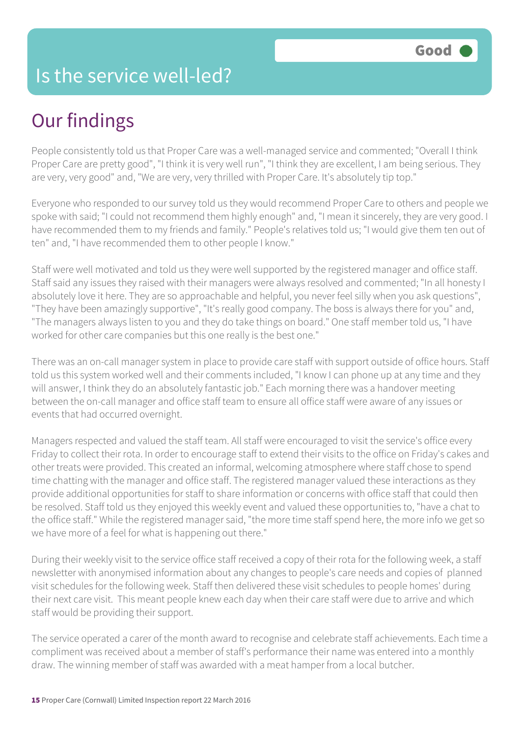#### Is the service well-led?

## Our findings

People consistently told us that Proper Care was a well-managed service and commented; "Overall I think Proper Care are pretty good", "I think it is very well run", "I think they are excellent, I am being serious. They are very, very good" and, "We are very, very thrilled with Proper Care. It's absolutely tip top."

Everyone who responded to our survey told us they would recommend Proper Care to others and people we spoke with said; "I could not recommend them highly enough" and, "I mean it sincerely, they are very good. I have recommended them to my friends and family." People's relatives told us; "I would give them ten out of ten" and, "I have recommended them to other people I know."

Staff were well motivated and told us they were well supported by the registered manager and office staff. Staff said any issues they raised with their managers were always resolved and commented; "In all honesty I absolutely love it here. They are so approachable and helpful, you never feel silly when you ask questions", "They have been amazingly supportive", "It's really good company. The boss is always there for you" and, "The managers always listen to you and they do take things on board." One staff member told us, "I have worked for other care companies but this one really is the best one."

There was an on-call manager system in place to provide care staff with support outside of office hours. Staff told us this system worked well and their comments included, "I know I can phone up at any time and they will answer, I think they do an absolutely fantastic job." Each morning there was a handover meeting between the on-call manager and office staff team to ensure all office staff were aware of any issues or events that had occurred overnight.

Managers respected and valued the staff team. All staff were encouraged to visit the service's office every Friday to collect their rota. In order to encourage staff to extend their visits to the office on Friday's cakes and other treats were provided. This created an informal, welcoming atmosphere where staff chose to spend time chatting with the manager and office staff. The registered manager valued these interactions as they provide additional opportunities for staff to share information or concerns with office staff that could then be resolved. Staff told us they enjoyed this weekly event and valued these opportunities to, "have a chat to the office staff." While the registered manager said, "the more time staff spend here, the more info we get so we have more of a feel for what is happening out there."

During their weekly visit to the service office staff received a copy of their rota for the following week, a staff newsletter with anonymised information about any changes to people's care needs and copies of planned visit schedules for the following week. Staff then delivered these visit schedules to people homes' during their next care visit. This meant people knew each day when their care staff were due to arrive and which staff would be providing their support.

The service operated a carer of the month award to recognise and celebrate staff achievements. Each time a compliment was received about a member of staff's performance their name was entered into a monthly draw. The winning member of staff was awarded with a meat hamper from a local butcher.